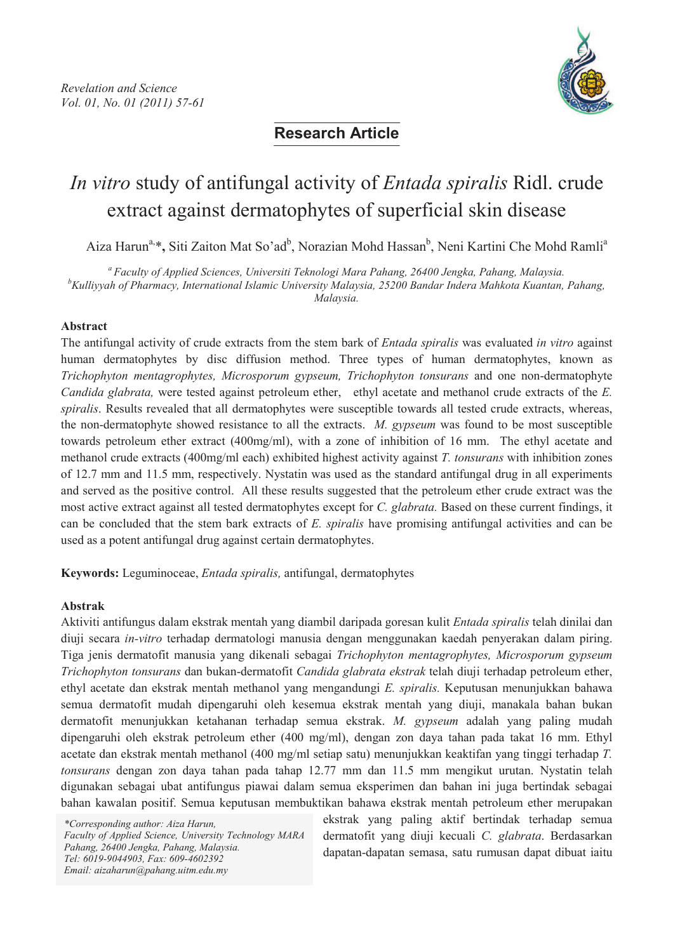

## **Research Article**

# *In vitro* study of antifungal activity of *Entada spiralis* Ridl. crude extract against dermatophytes of superficial skin disease

Aiza Harun<sup>a,</sup>\*, Siti Zaiton Mat So'ad<sup>b</sup>, Norazian Mohd Hassan<sup>b</sup>, Neni Kartini Che Mohd Ramli<sup>a</sup>

*<sup>a</sup> Faculty of Applied Sciences, Universiti Teknologi Mara Pahang, 26400 Jengka, Pahang, Malaysia.*

*<sup>b</sup>Kulliyyah of Pharmacy, International Islamic University Malaysia, 25200 Bandar Indera Mahkota Kuantan, Pahang, Malaysia.*

#### **Abstract**

The antifungal activity of crude extracts from the stem bark of *Entada spiralis* was evaluated *in vitro* against human dermatophytes by disc diffusion method. Three types of human dermatophytes, known as *Trichophyton mentagrophytes, Microsporum gypseum, Trichophyton tonsurans* and one non-dermatophyte *Candida glabrata,* were tested against petroleum ether, ethyl acetate and methanol crude extracts of the *E. spiralis*. Results revealed that all dermatophytes were susceptible towards all tested crude extracts, whereas, the non-dermatophyte showed resistance to all the extracts. *M. gypseum* was found to be most susceptible towards petroleum ether extract (400mg/ml), with a zone of inhibition of 16 mm. The ethyl acetate and methanol crude extracts (400mg/ml each) exhibited highest activity against *T. tonsurans* with inhibition zones of 12.7 mm and 11.5 mm, respectively. Nystatin was used as the standard antifungal drug in all experiments and served as the positive control. All these results suggested that the petroleum ether crude extract was the most active extract against all tested dermatophytes except for *C. glabrata.* Based on these current findings, it can be concluded that the stem bark extracts of *E. spiralis* have promising antifungal activities and can be used as a potent antifungal drug against certain dermatophytes.

**Keywords:** Leguminoceae, *Entada spiralis,* antifungal, dermatophytes

#### **Abstrak**

Aktiviti antifungus dalam ekstrak mentah yang diambil daripada goresan kulit *Entada spiralis* telah dinilai dan diuji secara *in-vitro* terhadap dermatologi manusia dengan menggunakan kaedah penyerakan dalam piring. Tiga jenis dermatofit manusia yang dikenali sebagai *Trichophyton mentagrophytes, Microsporum gypseum Trichophyton tonsurans* dan bukan-dermatofit *Candida glabrata ekstrak* telah diuji terhadap petroleum ether, ethyl acetate dan ekstrak mentah methanol yang mengandungi *E. spiralis.* Keputusan menunjukkan bahawa semua dermatofit mudah dipengaruhi oleh kesemua ekstrak mentah yang diuji, manakala bahan bukan dermatofit menunjukkan ketahanan terhadap semua ekstrak. *M. gypseum* adalah yang paling mudah dipengaruhi oleh ekstrak petroleum ether (400 mg/ml), dengan zon daya tahan pada takat 16 mm. Ethyl acetate dan ekstrak mentah methanol (400 mg/ml setiap satu) menunjukkan keaktifan yang tinggi terhadap *T. tonsurans* dengan zon daya tahan pada tahap 12.77 mm dan 11.5 mm mengikut urutan. Nystatin telah digunakan sebagai ubat antifungus piawai dalam semua eksperimen dan bahan ini juga bertindak sebagai bahan kawalan positif. Semua keputusan membuktikan bahawa ekstrak mentah petroleum ether merupakan

\*Corresponding author: Aiza Harun, Faculty of Applied Science, University Technology MARA Pahang, 26400 Jengka, Pahang, Malaysia. *Tel:* 6019-9044903, Fax: 609-4602392 Email: aizaharun@pahang.uitm.edu.my

ekstrak yang paling aktif bertindak terhadap semua dermatofit yang diuji kecuali *C. glabrata*. Berdasarkan dapatan-dapatan semasa, satu rumusan dapat dibuat iaitu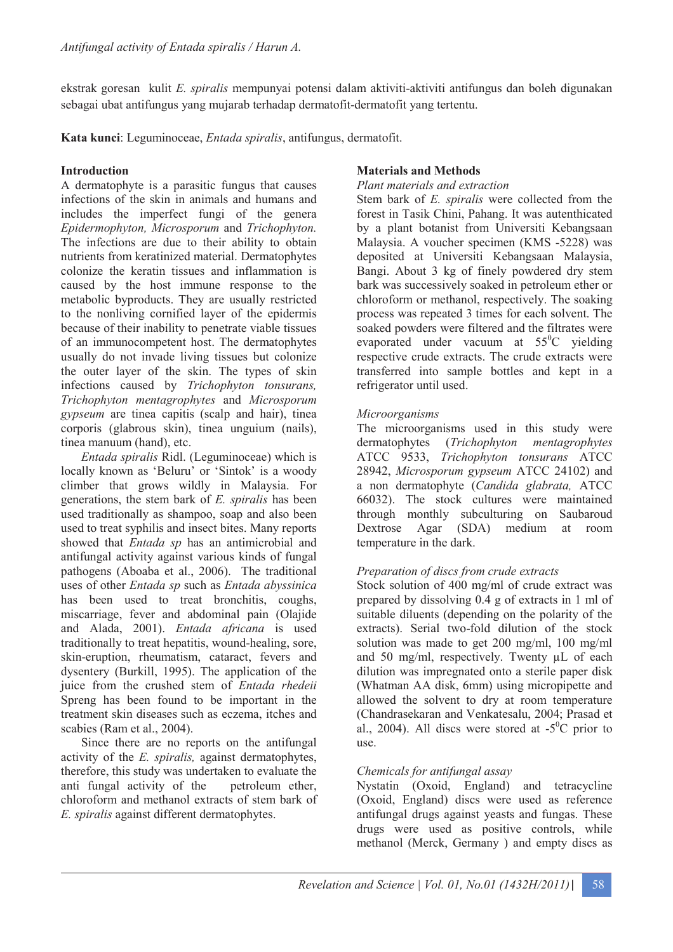ekstrak goresan kulit *E. spiralis* mempunyai potensi dalam aktiviti-aktiviti antifungus dan boleh digunakan sebagai ubat antifungus yang mujarab terhadap dermatofit-dermatofit yang tertentu.

**Kata kunci**: Leguminoceae, *Entada spiralis*, antifungus, dermatofit.

## **Introduction**

A dermatophyte is a parasitic fungus that causes infections of the skin in animals and humans and includes the imperfect fungi of the genera *Epidermophyton, Microsporum* and *Trichophyton.* The infections are due to their ability to obtain nutrients from keratinized material. Dermatophytes colonize the keratin tissues and inflammation is caused by the host immune response to the metabolic byproducts. They are usually restricted to the nonliving cornified layer of the epidermis because of their inability to penetrate viable tissues of an immunocompetent host. The dermatophytes usually do not invade living tissues but colonize the outer layer of the skin. The types of skin infections caused by *Trichophyton tonsurans, Trichophyton mentagrophytes* and *Microsporum gypseum* are tinea capitis (scalp and hair), tinea corporis (glabrous skin), tinea unguium (nails), tinea manuum (hand), etc.

*Entada spiralis* Ridl. (Leguminoceae) which is locally known as 'Beluru' or 'Sintok' is a woody climber that grows wildly in Malaysia. For generations, the stem bark of *E. spiralis* has been used traditionally as shampoo, soap and also been used to treat syphilis and insect bites. Many reports showed that *Entada sp* has an antimicrobial and antifungal activity against various kinds of fungal pathogens (Aboaba et al., 2006). The traditional uses of other *Entada sp* such as *Entada abyssinica* has been used to treat bronchitis, coughs, miscarriage, fever and abdominal pain (Olajide and Alada, 2001). *Entada africana* is used traditionally to treat hepatitis, wound-healing, sore, skin-eruption, rheumatism, cataract, fevers and dysentery (Burkill, 1995). The application of the juice from the crushed stem of *Entada rhedeii* Spreng has been found to be important in the treatment skin diseases such as eczema, itches and scabies (Ram et al., 2004).

Since there are no reports on the antifungal activity of the *E. spiralis,* against dermatophytes, therefore, this study was undertaken to evaluate the anti fungal activity of the petroleum ether, chloroform and methanol extracts of stem bark of *E. spiralis* against different dermatophytes.

## **Materials and Methods**

#### *Plant materials and extraction*

Stem bark of *E. spiralis* were collected from the forest in Tasik Chini, Pahang. It was autenthicated by a plant botanist from Universiti Kebangsaan Malaysia. A voucher specimen (KMS -5228) was deposited at Universiti Kebangsaan Malaysia, Bangi. About 3 kg of finely powdered dry stem bark was successively soaked in petroleum ether or chloroform or methanol, respectively. The soaking process was repeated 3 times for each solvent. The soaked powders were filtered and the filtrates were evaporated under vacuum at  $55^{\circ}$ C yielding respective crude extracts. The crude extracts were transferred into sample bottles and kept in a refrigerator until used.

## *Microorganisms*

The microorganisms used in this study were dermatophytes (*Trichophyton mentagrophytes* ATCC 9533, *Trichophyton tonsurans* ATCC 28942, *Microsporum gypseum* ATCC 24102) and a non dermatophyte (*Candida glabrata,* ATCC 66032). The stock cultures were maintained through monthly subculturing on Saubaroud Dextrose Agar (SDA) medium at room temperature in the dark.

## *Preparation of discs from crude extracts*

Stock solution of 400 mg/ml of crude extract was prepared by dissolving 0.4 g of extracts in 1 ml of suitable diluents (depending on the polarity of the extracts). Serial two-fold dilution of the stock solution was made to get 200 mg/ml, 100 mg/ml and 50 mg/ml, respectively. Twenty µL of each dilution was impregnated onto a sterile paper disk (Whatman AA disk, 6mm) using micropipette and allowed the solvent to dry at room temperature (Chandrasekaran and Venkatesalu, 2004; Prasad et al., 2004). All discs were stored at  $-5^{\circ}$ C prior to use.

## *Chemicals for antifungal assay*

Nystatin (Oxoid, England) and tetracycline (Oxoid, England) discs were used as reference antifungal drugs against yeasts and fungas. These drugs were used as positive controls, while methanol (Merck, Germany ) and empty discs as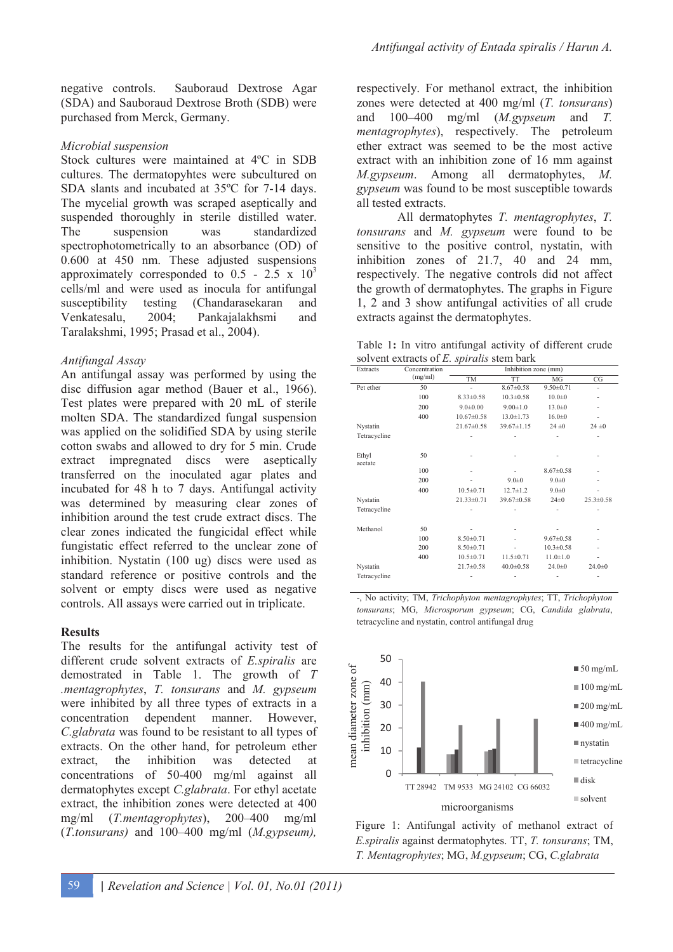negative controls. Sauboraud Dextrose Agar (SDA) and Sauboraud Dextrose Broth (SDB) were purchased from Merck, Germany.

## *Microbial suspension*

Stock cultures were maintained at 4ºC in SDB cultures. The dermatopyhtes were subcultured on SDA slants and incubated at 35ºC for 7-14 days. The mycelial growth was scraped aseptically and suspended thoroughly in sterile distilled water. The suspension was standardized spectrophotometrically to an absorbance (OD) of 0.600 at 450 nm. These adjusted suspensions approximately corresponded to  $0.5 - 2.5 \times 10^3$ cells/ml and were used as inocula for antifungal susceptibility testing (Chandarasekaran and Venkatesalu, 2004; Pankajalakhsmi and Taralakshmi, 1995; Prasad et al., 2004).

## *Antifungal Assay*

An antifungal assay was performed by using the disc diffusion agar method (Bauer et al., 1966). Test plates were prepared with 20 mL of sterile molten SDA. The standardized fungal suspension was applied on the solidified SDA by using sterile cotton swabs and allowed to dry for 5 min. Crude extract impregnated discs were aseptically transferred on the inoculated agar plates and incubated for 48 h to 7 days. Antifungal activity was determined by measuring clear zones of inhibition around the test crude extract discs. The clear zones indicated the fungicidal effect while fungistatic effect referred to the unclear zone of inhibition. Nystatin (100 ug) discs were used as standard reference or positive controls and the solvent or empty discs were used as negative controls. All assays were carried out in triplicate.

## **Results**

The results for the antifungal activity test of different crude solvent extracts of *E.spiralis* are demostrated in Table 1. The growth of *T .mentagrophytes*, *T. tonsurans* and *M. gypseum* were inhibited by all three types of extracts in a concentration dependent manner. However, *C.glabrata* was found to be resistant to all types of extracts. On the other hand, for petroleum ether extract, the inhibition was detected at concentrations of 50-400 mg/ml against all dermatophytes except *C.glabrata*. For ethyl acetate extract, the inhibition zones were detected at 400 mg/ml (*T.mentagrophytes*), 200–400 mg/ml (*T.tonsurans)* and 100–400 mg/ml (*M.gypseum),* 

respectively. For methanol extract, the inhibition zones were detected at 400 mg/ml (*T. tonsurans*) and 100–400 mg/ml (*M.gypseum* and *T. mentagrophytes*), respectively. The petroleum ether extract was seemed to be the most active extract with an inhibition zone of 16 mm against *M.gypseum*. Among all dermatophytes, *M. gypseum* was found to be most susceptible towards all tested extracts.

 All dermatophytes *T. mentagrophytes*, *T. tonsurans* and *M. gypseum* were found to be sensitive to the positive control, nystatin, with inhibition zones of 21.7, 40 and 24 mm, respectively. The negative controls did not affect the growth of dermatophytes. The graphs in Figure 1, 2 and 3 show antifungal activities of all crude extracts against the dermatophytes.

|  |  | Table 1: In vitro antifungal activity of different crude |  |  |
|--|--|----------------------------------------------------------|--|--|
|  |  | solvent extracts of E. spiralis stem bark                |  |  |

| Extracts         | Concentration | Inhibition zone (mm) |                  |                 |                 |  |  |
|------------------|---------------|----------------------|------------------|-----------------|-----------------|--|--|
|                  | (mg/ml)       | TM                   | TT               | MG              | CG              |  |  |
| Pet ether        | 50            |                      | $8.67 \pm 0.58$  | $9.50 \pm 0.71$ |                 |  |  |
|                  | 100           | $8.33 \pm 0.58$      | $10.3 \pm 0.58$  | $10.0 + 0$      |                 |  |  |
|                  | 200           | $9.0 \pm 0.00$       | $9.00 \pm 1.0$   | $13.0 \pm 0$    |                 |  |  |
|                  | 400           | $10.67 \pm 0.58$     | $13.0 \pm 1.73$  | $16.0 \pm 0$    |                 |  |  |
| Nystatin         |               | $21.67 \pm 0.58$     | $39.67 \pm 1.15$ | 24 ± 0          | 24 ± 0          |  |  |
| Tetracycline     |               |                      |                  |                 |                 |  |  |
| Ethyl<br>acetate | 50            |                      |                  |                 |                 |  |  |
|                  | 100           |                      |                  | $8.67 \pm 0.58$ |                 |  |  |
|                  | 200           |                      | $9.0 \pm 0$      | $9.0 \pm 0$     |                 |  |  |
|                  | 400           | $10.5 \pm 0.71$      | $12.7 \pm 1.2$   | $9.0 + 0$       |                 |  |  |
| Nystatin         |               | $21.33 \pm 0.71$     | $39.67 \pm 0.58$ | $24 \pm 0$      | $25.3 \pm 0.58$ |  |  |
| Tetracycline     |               |                      |                  |                 |                 |  |  |
| Methanol         | 50            |                      |                  |                 |                 |  |  |
|                  | 100           | $8.50 \pm 0.71$      |                  | $9.67 \pm 0.58$ |                 |  |  |
|                  | 200           | $8.50 \pm 0.71$      |                  | $10.3 \pm 0.58$ |                 |  |  |
|                  | 400           | $10.5 \pm 0.71$      | $11.5 \pm 0.71$  | $11.0 \pm 1.0$  |                 |  |  |
| Nystatin         |               | $21.7 \pm 0.58$      | $40.0 \pm 0.58$  | $24.0 \pm 0$    | $24.0 \pm 0$    |  |  |
| Tetracycline     |               |                      |                  |                 |                 |  |  |

-, No activity; TM, *Trichophyton mentagrophytes*; TT, *Trichophyton tonsurans*; MG, *Microsporum gypseum*; CG, *Candida glabrata*, tetracycline and nystatin, control antifungal drug



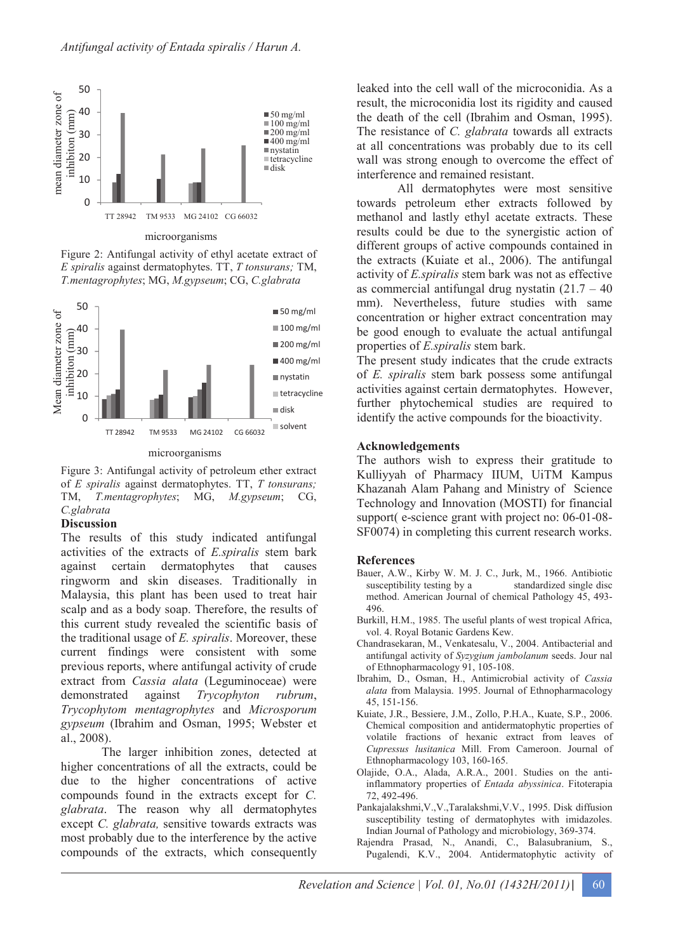

microorganisms

Figure 2: Antifungal activity of ethyl acetate extract of *E spiralis* against dermatophytes. TT, *T tonsurans;* TM, *T.mentagrophytes*; MG, *M.gypseum*; CG, *C.glabrata* 



microorganisms

Figure 3: Antifungal activity of petroleum ether extract of *E spiralis* against dermatophytes. TT, *T tonsurans;* TM, *T.mentagrophytes*; MG, *M.gypseum*; CG, *C.glabrata*

#### **Discussion**

The results of this study indicated antifungal activities of the extracts of *E.spiralis* stem bark against certain dermatophytes that causes ringworm and skin diseases. Traditionally in Malaysia, this plant has been used to treat hair scalp and as a body soap. Therefore, the results of this current study revealed the scientific basis of the traditional usage of *E. spiralis*. Moreover, these current findings were consistent with some previous reports, where antifungal activity of crude extract from *Cassia alata* (Leguminoceae) were demonstrated against *Trycophyton rubrum*, *Trycophytom mentagrophytes* and *Microsporum gypseum* (Ibrahim and Osman, 1995; Webster et al., 2008).

The larger inhibition zones, detected at higher concentrations of all the extracts, could be due to the higher concentrations of active compounds found in the extracts except for *C. glabrata*. The reason why all dermatophytes except *C. glabrata,* sensitive towards extracts was most probably due to the interference by the active compounds of the extracts, which consequently

leaked into the cell wall of the microconidia. As a result, the microconidia lost its rigidity and caused the death of the cell (Ibrahim and Osman, 1995). The resistance of *C. glabrata* towards all extracts at all concentrations was probably due to its cell wall was strong enough to overcome the effect of interference and remained resistant.

All dermatophytes were most sensitive towards petroleum ether extracts followed by methanol and lastly ethyl acetate extracts. These results could be due to the synergistic action of different groups of active compounds contained in the extracts (Kuiate et al., 2006). The antifungal activity of *E.spiralis* stem bark was not as effective as commercial antifungal drug nystatin  $(21.7 - 40)$ mm). Nevertheless, future studies with same concentration or higher extract concentration may be good enough to evaluate the actual antifungal properties of *E.spiralis* stem bark.

The present study indicates that the crude extracts of *E. spiralis* stem bark possess some antifungal activities against certain dermatophytes. However, further phytochemical studies are required to identify the active compounds for the bioactivity.

#### **Acknowledgements**

The authors wish to express their gratitude to Kulliyyah of Pharmacy IIUM, UiTM Kampus Khazanah Alam Pahang and Ministry of Science Technology and Innovation (MOSTI) for financial support( e-science grant with project no: 06-01-08- SF0074) in completing this current research works.

#### **References**

- Bauer, A.W., Kirby W. M. J. C., Jurk, M., 1966. Antibiotic susceptibility testing by a standardized single disc method. American Journal of chemical Pathology 45, 493- 496.
- Burkill, H.M., 1985. The useful plants of west tropical Africa, vol. 4. Royal Botanic Gardens Kew.
- Chandrasekaran, M., Venkatesalu, V., 2004. Antibacterial and antifungal activity of *Syzygium jambolanum* seeds. Jour nal of Ethnopharmacology 91, 105-108.
- Ibrahim, D., Osman, H., Antimicrobial activity of *Cassia alata* from Malaysia. 1995. Journal of Ethnopharmacology 45, 151-156.
- Kuiate, J.R., Bessiere, J.M., Zollo, P.H.A., Kuate, S.P., 2006. Chemical composition and antidermatophytic properties of volatile fractions of hexanic extract from leaves of *Cupressus lusitanica* Mill. From Cameroon. Journal of Ethnopharmacology 103, 160-165.
- Olajide, O.A., Alada, A.R.A., 2001. Studies on the antiinflammatory properties of *Entada abyssinica*. Fitoterapia 72, 492-496.
- Pankajalakshmi,V.,V.,Taralakshmi,V.V., 1995. Disk diffusion susceptibility testing of dermatophytes with imidazoles. Indian Journal of Pathology and microbiology, 369-374.
- Rajendra Prasad, N., Anandi, C., Balasubranium, S., Pugalendi, K.V., 2004. Antidermatophytic activity of